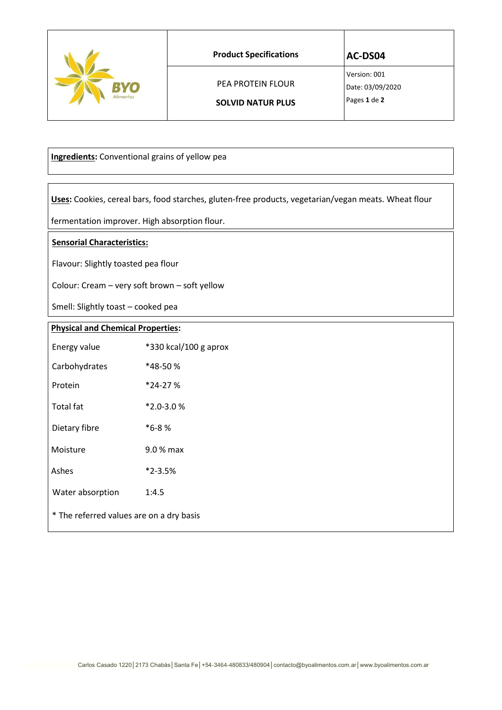|           | <b>Product Specifications</b> | <b>AC-DS04</b>                   |
|-----------|-------------------------------|----------------------------------|
| RYO       | <b>PEA PROTEIN FLOUR</b>      | Version: 001<br>Date: 03/09/2020 |
| Alimentos | <b>SOLVID NATUR PLUS</b>      | Pages 1 de 2                     |

 **Ingredients:** Conventional grains of yellow pea

 **Uses:** Cookies, cereal bars, food starches, gluten-free products, vegetarian/vegan meats. Wheat flour

fermentation improver. High absorption flour.

## **Sensorial Characteristics:**

Flavour: Slightly toasted pea flour

Colour: Cream – very soft brown – soft yellow

Smell: Slightly toast – cooked pea

## **Physical and Chemical Properties:**

| Energy value                             | *330 kcal/100 g aprox |
|------------------------------------------|-----------------------|
| Carbohydrates                            | *48-50 %              |
| Protein                                  | *24-27%               |
| <b>Total fat</b>                         | $*2.0 - 3.0%$         |
| Dietary fibre                            | $*6-8%$               |
| Moisture                                 | 9.0 % max             |
| Ashes                                    | $*2 - 3.5%$           |
| Water absorption                         | 1:4.5                 |
| * The referred values are on a dry basis |                       |
|                                          |                       |